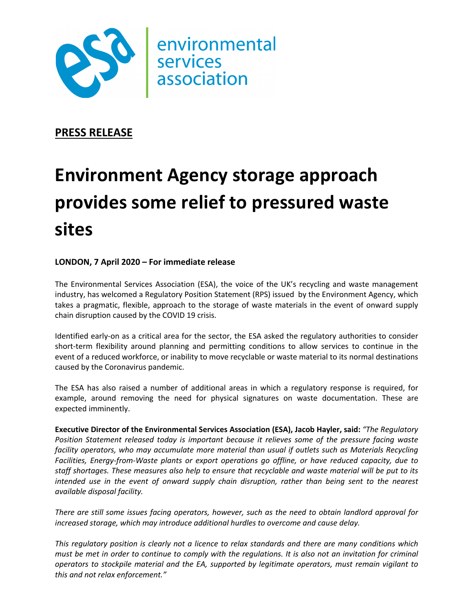

**PRESS RELEASE**

## **Environment Agency storage approach provides some relief to pressured waste sites**

## **LONDON, 7 April 2020 – For immediate release**

The Environmental Services Association (ESA), the voice of the UK's recycling and waste management industry, has welcomed a Regulatory Position Statement (RPS) issued by the Environment Agency, which takes a pragmatic, flexible, approach to the storage of waste materials in the event of onward supply chain disruption caused by the COVID 19 crisis.

Identified early-on as a critical area for the sector, the ESA asked the regulatory authorities to consider short-term flexibility around planning and permitting conditions to allow services to continue in the event of a reduced workforce, or inability to move recyclable or waste material to its normal destinations caused by the Coronavirus pandemic.

The ESA has also raised a number of additional areas in which a regulatory response is required, for example, around removing the need for physical signatures on waste documentation. These are expected imminently.

**Executive Director of the Environmental Services Association (ESA), Jacob Hayler, said:** *"The Regulatory Position Statement released today is important because it relieves some of the pressure facing waste facility operators, who may accumulate more material than usual if outlets such as Materials Recycling Facilities, Energy-from-Waste plants or export operations go offline, or have reduced capacity, due to staff shortages. These measures also help to ensure that recyclable and waste material will be put to its intended use in the event of onward supply chain disruption, rather than being sent to the nearest available disposal facility.* 

*There are still some issues facing operators, however, such as the need to obtain landlord approval for increased storage, which may introduce additional hurdles to overcome and cause delay.* 

*This regulatory position is clearly not a licence to relax standards and there are many conditions which must be met in order to continue to comply with the regulations. It is also not an invitation for criminal operators to stockpile material and the EA, supported by legitimate operators, must remain vigilant to this and not relax enforcement."*